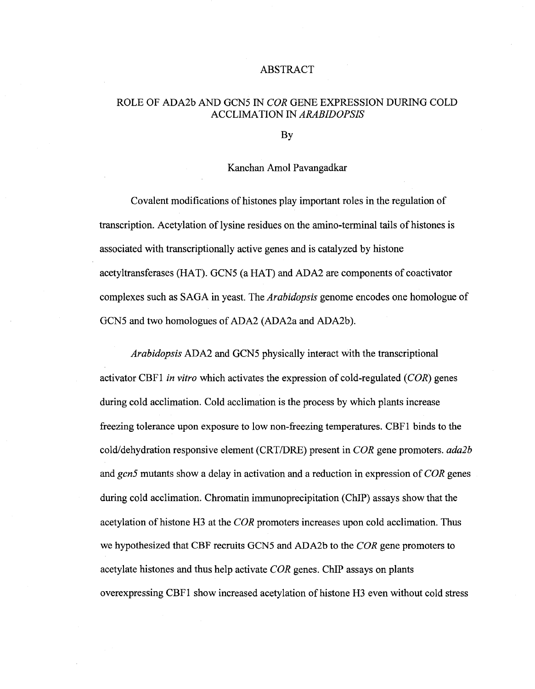## ABSTRACT

## ROLE OF ADA2b AND GCN5 IN *COR* GENE EXPRESSION DURING COLD ACCLIMATION IN *ARABIDOPSIS*

By

## Kanchan Amol Pavangadkar

Covalent modifications of histones play important roles in the regulation of transcription. Acetylation of lysine residues on the amino-terminal tails of histones is associated with transcriptionally active genes and is catalyzed by histone acetyltransferases (HAT). GCN5 (a HAT) and ADA2 are components of coactivator complexes such as SAGA in yeast. The *Arabidopsis* genome encodes one homologue of GCN5 and two homologues of ADA2 (ADA2a and ADA2b).

*Arabidopsis* ADA2 and GCN5 physically interact with the transcriptional activator CBF1 *in vitro* which activates the expression of cold-regulated *(COR)* genes during cold acclimation. Cold acclimation is the process by which plants increase freezing tolerance upon exposure to low non-freezing temperatures. CBF1 binds to the cold/dehydration responsive element (CRT/DRE) present in *COR* gene promoters, *adalb*  and *gcn5* mutants show a delay in activation and a reduction in expression of *COR* genes during cold acclimation. Chromatin immunoprecipitation (ChIP) assays show that the acetylation of histone H3 at the *COR* promoters increases upon cold acclimation. Thus we hypothesized that CBF recruits GCN5 and ADA2b to the *COR* gene promoters to acetylate histones and thus help activate *COR* genes. ChIP assays on plants overexpressing CBF1 show increased acetylation of histone H3 even without cold stress